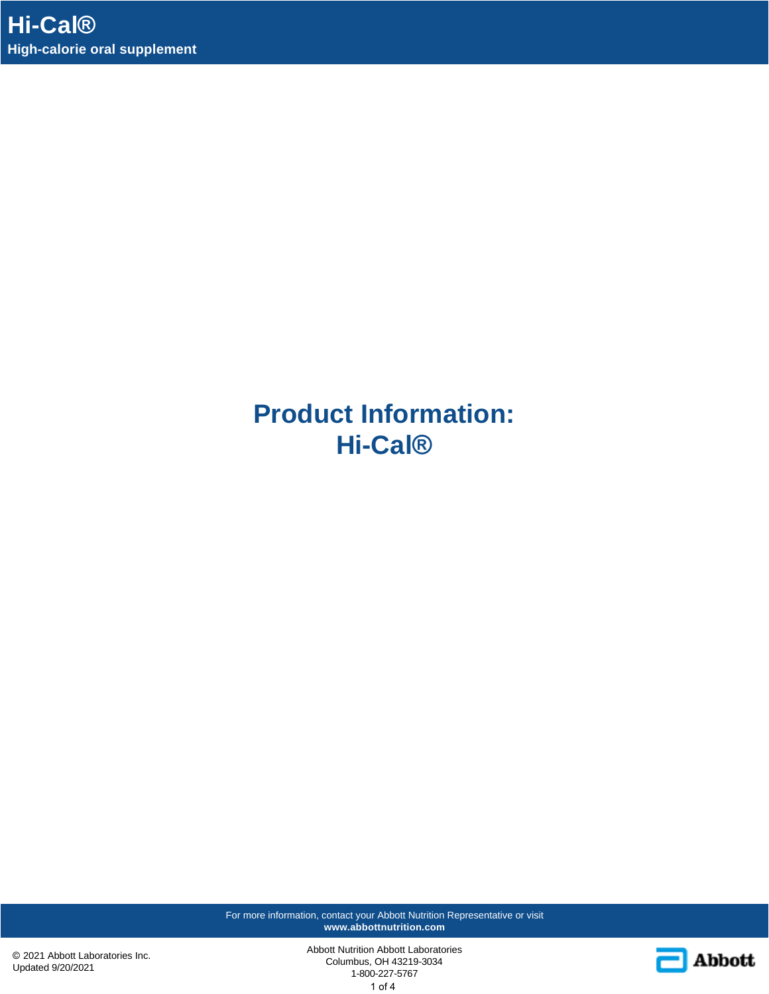**Product Information: Hi-Cal®**

For more information, contact your Abbott Nutrition Representative or visit **www.abbottnutrition.com**

© 2021 Abbott Laboratories Inc. Updated 9/20/2021

Abbott Nutrition Abbott Laboratories Columbus, OH 43219-3034 1-800-227-5767 1 of 4

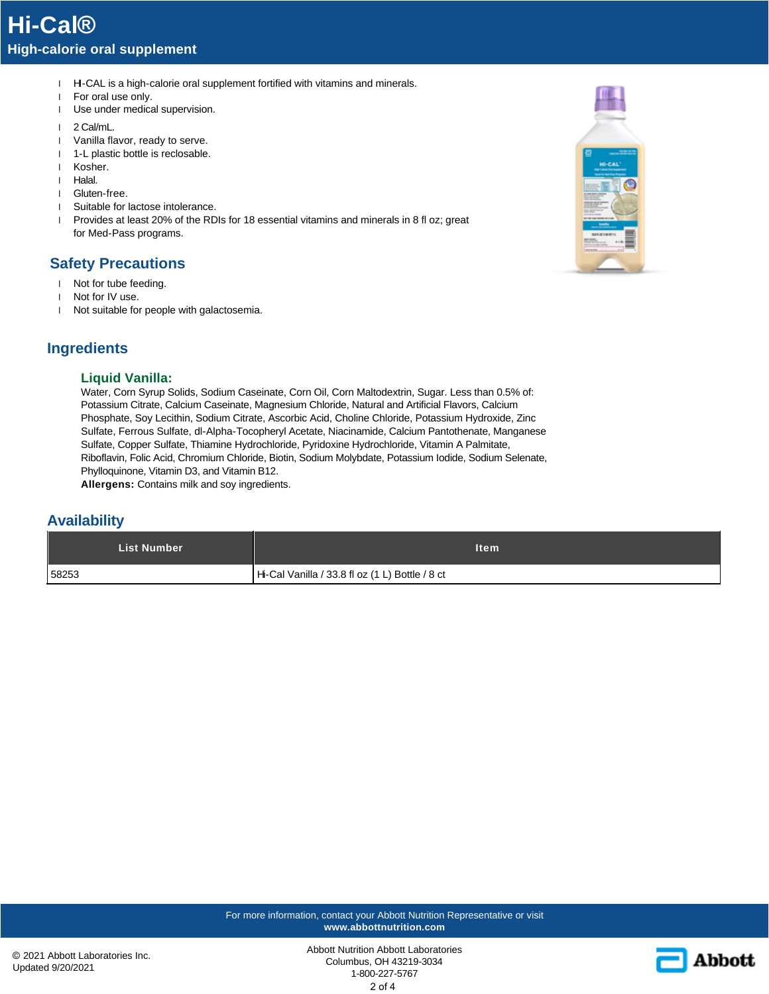- 1 H-CAL is a high-calorie oral supplement fortified with vitamins and minerals.
- l For oral use only.
- l Use under medical supervision.
- l 2 Cal/mL.
- l Vanilla flavor, ready to serve.
- 1 1-L plastic bottle is reclosable.
- l Kosher.
- l Halal.
- l Gluten-free.
- l Suitable for lactose intolerance.
- l Provides at least 20% of the RDIs for 18 essential vitamins and minerals in 8 fl oz; great for Med-Pass programs.

### **Safety Precautions**

- l Not for tube feeding.
- l Not for IV use.
- l Not suitable for people with galactosemia.

## **Ingredients**

#### **Liquid Vanilla:**

Water, Corn Syrup Solids, Sodium Caseinate, Corn Oil, Corn Maltodextrin, Sugar. Less than 0.5% of: Potassium Citrate, Calcium Caseinate, Magnesium Chloride, Natural and Artificial Flavors, Calcium Phosphate, Soy Lecithin, Sodium Citrate, Ascorbic Acid, Choline Chloride, Potassium Hydroxide, Zinc Sulfate, Ferrous Sulfate, dl-Alpha-Tocopheryl Acetate, Niacinamide, Calcium Pantothenate, Manganese Sulfate, Copper Sulfate, Thiamine Hydrochloride, Pyridoxine Hydrochloride, Vitamin A Palmitate, Riboflavin, Folic Acid, Chromium Chloride, Biotin, Sodium Molybdate, Potassium Iodide, Sodium Selenate, Phylloquinone, Vitamin D3, and Vitamin B12.

**Allergens:** Contains milk and soy ingredients.

### **Availability**

| <b>List Number</b> | ltem                                            |
|--------------------|-------------------------------------------------|
| 58253              | Hi-Cal Vanilla / 33.8 fl oz (1 L) Bottle / 8 ct |



For more information, contact your Abbott Nutrition Representative or visit **www.abbottnutrition.com**

Abbott Nutrition Abbott Laboratories Columbus, OH 43219-3034 1-800-227-5767 2 of 4

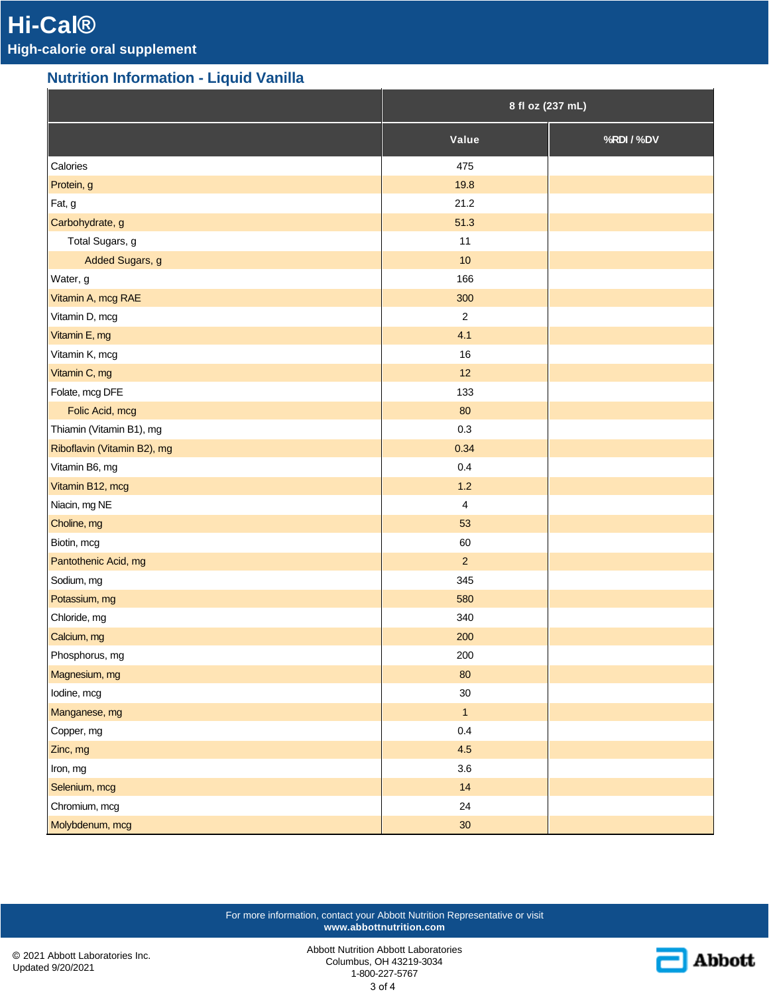# **Nutrition Information - Liquid Vanilla**

|                             | 8 fl oz (237 mL)        |            |
|-----------------------------|-------------------------|------------|
|                             | Value                   | %RDI / %DV |
| Calories                    | 475                     |            |
| Protein, g                  | 19.8                    |            |
| Fat, g                      | 21.2                    |            |
| Carbohydrate, g             | 51.3                    |            |
| Total Sugars, g             | 11                      |            |
| Added Sugars, g             | $10$                    |            |
| Water, g                    | 166                     |            |
| Vitamin A, mcg RAE          | 300                     |            |
| Vitamin D, mcg              | $\sqrt{2}$              |            |
| Vitamin E, mg               | 4.1                     |            |
| Vitamin K, mcg              | 16                      |            |
| Vitamin C, mg               | 12                      |            |
| Folate, mcg DFE             | 133                     |            |
| Folic Acid, mcg             | 80                      |            |
| Thiamin (Vitamin B1), mg    | 0.3                     |            |
| Riboflavin (Vitamin B2), mg | 0.34                    |            |
| Vitamin B6, mg              | 0.4                     |            |
| Vitamin B12, mcg            | $1.2$                   |            |
| Niacin, mg NE               | $\overline{\mathbf{4}}$ |            |
| Choline, mg                 | 53                      |            |
| Biotin, mcg                 | 60                      |            |
| Pantothenic Acid, mg        | $\overline{2}$          |            |
| Sodium, mg                  | 345                     |            |
| Potassium, mg               | 580                     |            |
| Chloride, mg                | 340                     |            |
| Calcium, mg                 | 200                     |            |
| Phosphorus, mg              | 200                     |            |
| Magnesium, mg               | $80\,$                  |            |
| lodine, mcg                 | $30\,$                  |            |
| Manganese, mg               | $\mathbf{1}$            |            |
| Copper, mg                  | 0.4                     |            |
| Zinc, mg                    | 4.5                     |            |
| Iron, mg                    | $3.6\,$                 |            |
| Selenium, mcg               | 14                      |            |
| Chromium, mcg               | 24                      |            |
| Molybdenum, mcg             | 30                      |            |

For more information, contact your Abbott Nutrition Representative or visit **www.abbottnutrition.com**

© 2021 Abbott Laboratories Inc. Updated 9/20/2021

Abbott Nutrition Abbott Laboratories Columbus, OH 43219-3034 1-800-227-5767 3 of 4